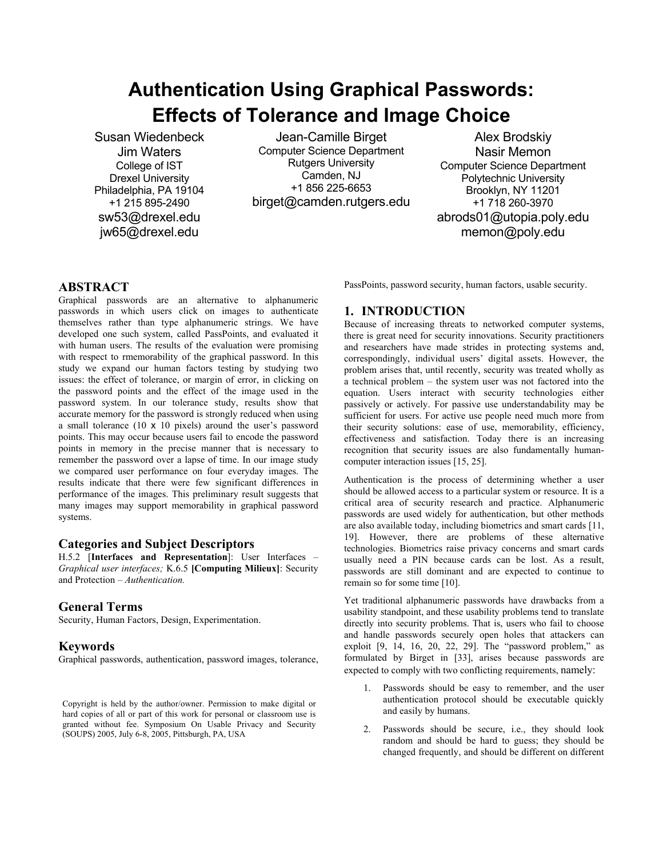# **Authentication Using Graphical Passwords: Effects of Tolerance and Image Choice**

Susan Wiedenbeck Jim Waters College of IST Drexel University Philadelphia, PA 19104 +1 215 895-2490 sw53@drexel.edu jw65@drexel.edu

Jean-Camille Birget Computer Science Department Rutgers University Camden, NJ +1 856 225-6653 birget@camden.rutgers.edu

Alex Brodskiy Nasir Memon Computer Science Department Polytechnic University Brooklyn, NY 11201 +1 718 260-3970 abrods01@utopia.poly.edu memon@poly.edu

## **ABSTRACT**

Graphical passwords are an alternative to alphanumeric passwords in which users click on images to authenticate themselves rather than type alphanumeric strings. We have developed one such system, called PassPoints, and evaluated it with human users. The results of the evaluation were promising with respect to rmemorability of the graphical password. In this study we expand our human factors testing by studying two issues: the effect of tolerance, or margin of error, in clicking on the password points and the effect of the image used in the password system. In our tolerance study, results show that accurate memory for the password is strongly reduced when using a small tolerance (10 х 10 pixels) around the user's password points. This may occur because users fail to encode the password points in memory in the precise manner that is necessary to remember the password over a lapse of time. In our image study we compared user performance on four everyday images. The results indicate that there were few significant differences in performance of the images. This preliminary result suggests that many images may support memorability in graphical password systems.

#### **Categories and Subject Descriptors**

H.5.2 [**Interfaces and Representation**]: User Interfaces – *Graphical user interfaces;* K.6.5 **[Computing Milieux]**: Security and Protection – *Authentication.* 

## **General Terms**

Security, Human Factors, Design, Experimentation.

#### **Keywords**

Graphical passwords, authentication, password images, tolerance,

Copyright is held by the author/owner. Permission to make digital or hard copies of all or part of this work for personal or classroom use is granted without fee. Symposium On Usable Privacy and Security (SOUPS) 2005, July 6-8, 2005, Pittsburgh, PA, USA

PassPoints, password security, human factors, usable security.

## **1. INTRODUCTION**

Because of increasing threats to networked computer systems, there is great need for security innovations. Security practitioners and researchers have made strides in protecting systems and, correspondingly, individual users' digital assets. However, the problem arises that, until recently, security was treated wholly as a technical problem – the system user was not factored into the equation. Users interact with security technologies either passively or actively. For passive use understandability may be sufficient for users. For active use people need much more from their security solutions: ease of use, memorability, efficiency, effectiveness and satisfaction. Today there is an increasing recognition that security issues are also fundamentally humancomputer interaction issues [15, 25].

Authentication is the process of determining whether a user should be allowed access to a particular system or resource. It is a critical area of security research and practice. Alphanumeric passwords are used widely for authentication, but other methods are also available today, including biometrics and smart cards [11, 19]. However, there are problems of these alternative technologies. Biometrics raise privacy concerns and smart cards usually need a PIN because cards can be lost. As a result, passwords are still dominant and are expected to continue to remain so for some time [10].

Yet traditional alphanumeric passwords have drawbacks from a usability standpoint, and these usability problems tend to translate directly into security problems. That is, users who fail to choose and handle passwords securely open holes that attackers can exploit  $[9, 14, 16, 20, 22, 29]$ . The "password problem," as formulated by Birget in [33], arises because passwords are expected to comply with two conflicting requirements, namely:

- 1. Passwords should be easy to remember, and the user authentication protocol should be executable quickly and easily by humans.
- 2. Passwords should be secure, i.e., they should look random and should be hard to guess; they should be changed frequently, and should be different on different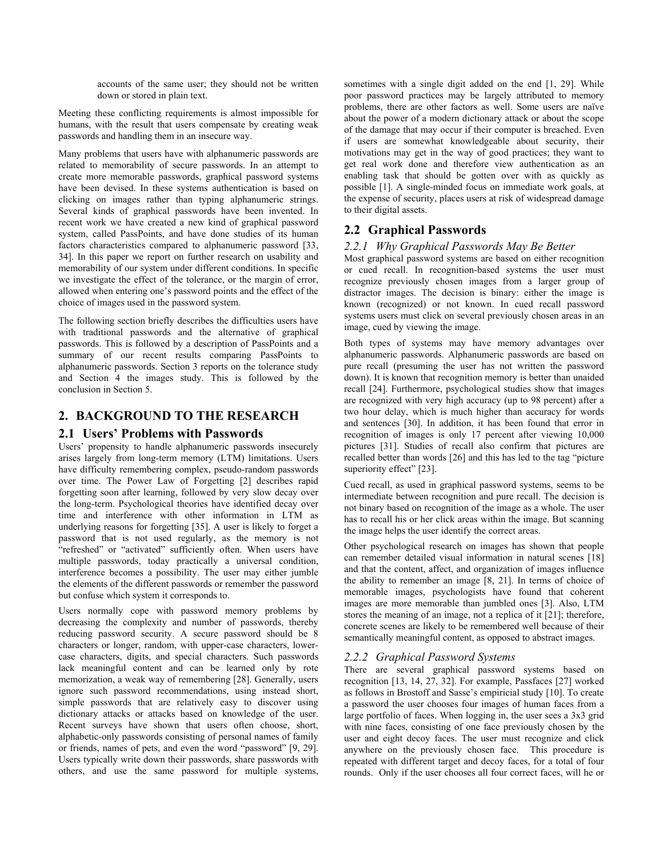accounts of the same user; they should not be written down or stored in plain text.

Meeting these conflicting requirements is almost impossible for humans, with the result that users compensate by creating weak passwords and handling them in an insecure way.

Many problems that users have with alphanumeric passwords are related to memorability of secure passwords. In an attempt to create more memorable passwords, graphical password systems have been devised. In these systems authentication is based on clicking on images rather than typing alphanumeric strings. Several kinds of graphical passwords have been invented. In recent work we have created a new kind of graphical password system, called PassPoints, and have done studies of its human factors characteristics compared to alphanumeric password [33, 34]. In this paper we report on further research on usability and memorability of our system under different conditions. In specific we investigate the effect of the tolerance, or the margin of error, allowed when entering one's password points and the effect of the choice of images used in the password system.

The following section briefly describes the difficulties users have with traditional passwords and the alternative of graphical passwords. This is followed by a description of PassPoints and a summary of our recent results comparing PassPoints to alphanumeric passwords. Section 3 reports on the tolerance study and Section 4 the images study. This is followed by the conclusion in Section 5.

## **2. BACKGROUND TO THE RESEARCH**

## **2.1 Users' Problems with Passwords**

Users' propensity to handle alphanumeric passwords insecurely arises largely from long-term memory (LTM) limitations. Users have difficulty remembering complex, pseudo-random passwords over time. The Power Law of Forgetting [2] describes rapid forgetting soon after learning, followed by very slow decay over the long-term. Psychological theories have identified decay over time and interference with other information in LTM as underlying reasons for forgetting [35]. A user is likely to forget a password that is not used regularly, as the memory is not "refreshed" or "activated" sufficiently often. When users have multiple passwords, today practically a universal condition, interference becomes a possibility. The user may either jumble the elements of the different passwords or remember the password but confuse which system it corresponds to.

Users normally cope with password memory problems by decreasing the complexity and number of passwords, thereby reducing password security. A secure password should be 8 characters or longer, random, with upper-case characters, lowercase characters, digits, and special characters. Such passwords lack meaningful content and can be learned only by rote memorization, a weak way of remembering [28]. Generally, users ignore such password recommendations, using instead short, simple passwords that are relatively easy to discover using dictionary attacks or attacks based on knowledge of the user. Recent surveys have shown that users often choose, short, alphabetic-only passwords consisting of personal names of family or friends, names of pets, and even the word "password" [9, 29]. Users typically write down their passwords, share passwords with others, and use the same password for multiple systems, sometimes with a single digit added on the end [1, 29]. While poor password practices may be largely attributed to memory problems, there are other factors as well. Some users are naïve about the power of a modern dictionary attack or about the scope of the damage that may occur if their computer is breached. Even if users are somewhat knowledgeable about security, their motivations may get in the way of good practices; they want to get real work done and therefore view authentication as an enabling task that should be gotten over with as quickly as possible [1]. A single-minded focus on immediate work goals, at the expense of security, places users at risk of widespread damage to their digital assets.

## **2.2 Graphical Passwords**

#### *2.2.1 Why Graphical Passwords May Be Better*

Most graphical password systems are based on either recognition or cued recall. In recognition-based systems the user must recognize previously chosen images from a larger group of distractor images. The decision is binary: either the image is known (recognized) or not known. In cued recall password systems users must click on several previously chosen areas in an image, cued by viewing the image.

Both types of systems may have memory advantages over alphanumeric passwords. Alphanumeric passwords are based on pure recall (presuming the user has not written the password down). It is known that recognition memory is better than unaided recall [24]. Furthermore, psychological studies show that images are recognized with very high accuracy (up to 98 percent) after a two hour delay, which is much higher than accuracy for words and sentences [30]. In addition, it has been found that error in recognition of images is only 17 percent after viewing 10,000 pictures [31]. Studies of recall also confirm that pictures are recalled better than words [26] and this has led to the tag "picture superiority effect" [23].

Cued recall, as used in graphical password systems, seems to be intermediate between recognition and pure recall. The decision is not binary based on recognition of the image as a whole. The user has to recall his or her click areas within the image. But scanning the image helps the user identify the correct areas.

Other psychological research on images has shown that people can remember detailed visual information in natural scenes [18] and that the content, affect, and organization of images influence the ability to remember an image [8, 21]. In terms of choice of memorable images, psychologists have found that coherent images are more memorable than jumbled ones [3]. Also, LTM stores the meaning of an image, not a replica of it [21]; therefore, concrete scenes are likely to be remembered well because of their semantically meaningful content, as opposed to abstract images.

## *2.2.2 Graphical Password Systems*

There are several graphical password systems based on recognition [13, 14, 27, 32]. For example, Passfaces [27] worked as follows in Brostoff and Sasse's empiricial study [10]. To create a password the user chooses four images of human faces from a large portfolio of faces. When logging in, the user sees a 3x3 grid with nine faces, consisting of one face previously chosen by the user and eight decoy faces. The user must recognize and click anywhere on the previously chosen face. This procedure is repeated with different target and decoy faces, for a total of four rounds. Only if the user chooses all four correct faces, will he or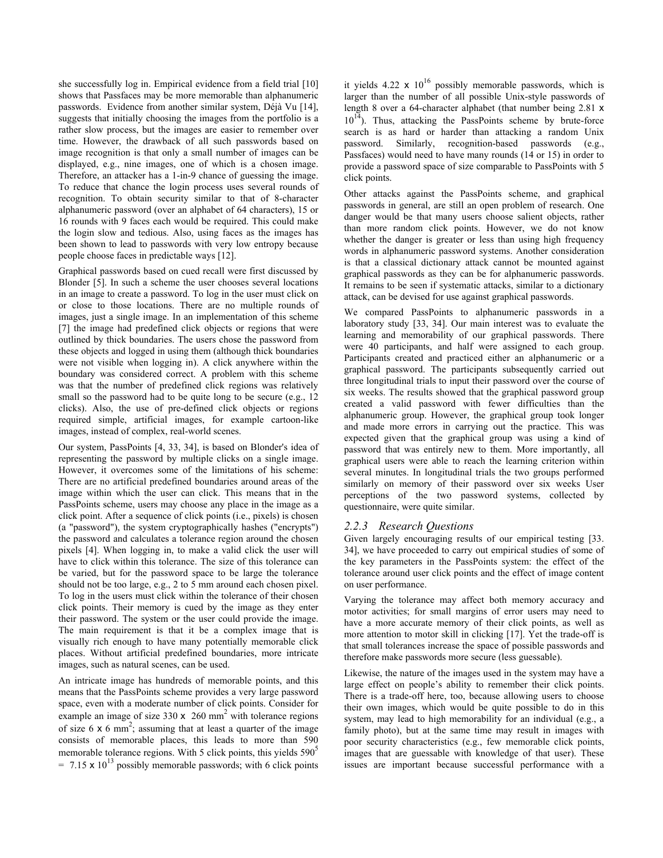she successfully log in. Empirical evidence from a field trial [10] shows that Passfaces may be more memorable than alphanumeric passwords. Evidence from another similar system, Déjà Vu [14], suggests that initially choosing the images from the portfolio is a rather slow process, but the images are easier to remember over time. However, the drawback of all such passwords based on image recognition is that only a small number of images can be displayed, e.g., nine images, one of which is a chosen image. Therefore, an attacker has a 1-in-9 chance of guessing the image. To reduce that chance the login process uses several rounds of recognition. To obtain security similar to that of 8-character alphanumeric password (over an alphabet of 64 characters), 15 or 16 rounds with 9 faces each would be required. This could make the login slow and tedious. Also, using faces as the images has been shown to lead to passwords with very low entropy because people choose faces in predictable ways [12].

Graphical passwords based on cued recall were first discussed by Blonder [5]. In such a scheme the user chooses several locations in an image to create a password. To log in the user must click on or close to those locations. There are no multiple rounds of images, just a single image. In an implementation of this scheme [7] the image had predefined click objects or regions that were outlined by thick boundaries. The users chose the password from these objects and logged in using them (although thick boundaries were not visible when logging in). A click anywhere within the boundary was considered correct. A problem with this scheme was that the number of predefined click regions was relatively small so the password had to be quite long to be secure (e.g., 12) clicks). Also, the use of pre-defined click objects or regions required simple, artificial images, for example cartoon-like images, instead of complex, real-world scenes.

Our system, PassPoints [4, 33, 34], is based on Blonder's idea of representing the password by multiple clicks on a single image. However, it overcomes some of the limitations of his scheme: There are no artificial predefined boundaries around areas of the image within which the user can click. This means that in the PassPoints scheme, users may choose any place in the image as a click point. After a sequence of click points (i.e., pixels) is chosen (a "password"), the system cryptographically hashes ("encrypts") the password and calculates a tolerance region around the chosen pixels [4]. When logging in, to make a valid click the user will have to click within this tolerance. The size of this tolerance can be varied, but for the password space to be large the tolerance should not be too large, e.g., 2 to 5 mm around each chosen pixel. To log in the users must click within the tolerance of their chosen click points. Their memory is cued by the image as they enter their password. The system or the user could provide the image. The main requirement is that it be a complex image that is visually rich enough to have many potentially memorable click places. Without artificial predefined boundaries, more intricate images, such as natural scenes, can be used.

An intricate image has hundreds of memorable points, and this means that the PassPoints scheme provides a very large password space, even with a moderate number of click points. Consider for example an image of size  $330 \times 260$  mm<sup>2</sup> with tolerance regions of size 6  $\times$  6 mm<sup>2</sup>; assuming that at least a quarter of the image consists of memorable places, this leads to more than 590 memorable tolerance regions. With 5 click points, this yields  $590<sup>5</sup>$  $= 7.15 \times 10^{13}$  possibly memorable passwords; with 6 click points

it yields 4.22  $\times$  10<sup>16</sup> possibly memorable passwords, which is larger than the number of all possible Unix-style passwords of length 8 over a 64-character alphabet (that number being 2.81 х  $10^{14}$ ). Thus, attacking the PassPoints scheme by brute-force search is as hard or harder than attacking a random Unix password. Similarly, recognition-based passwords (e.g., Passfaces) would need to have many rounds (14 or 15) in order to provide a password space of size comparable to PassPoints with 5 click points.

Other attacks against the PassPoints scheme, and graphical passwords in general, are still an open problem of research. One danger would be that many users choose salient objects, rather than more random click points. However, we do not know whether the danger is greater or less than using high frequency words in alphanumeric password systems. Another consideration is that a classical dictionary attack cannot be mounted against graphical passwords as they can be for alphanumeric passwords. It remains to be seen if systematic attacks, similar to a dictionary attack, can be devised for use against graphical passwords.

We compared PassPoints to alphanumeric passwords in a laboratory study [33, 34]. Our main interest was to evaluate the learning and memorability of our graphical passwords. There were 40 participants, and half were assigned to each group. Participants created and practiced either an alphanumeric or a graphical password. The participants subsequently carried out three longitudinal trials to input their password over the course of six weeks. The results showed that the graphical password group created a valid password with fewer difficulties than the alphanumeric group. However, the graphical group took longer and made more errors in carrying out the practice. This was expected given that the graphical group was using a kind of password that was entirely new to them. More importantly, all graphical users were able to reach the learning criterion within several minutes. In longitudinal trials the two groups performed similarly on memory of their password over six weeks User perceptions of the two password systems, collected by questionnaire, were quite similar.

#### *2.2.3 Research Questions*

Given largely encouraging results of our empirical testing [33.] 34], we have proceeded to carry out empirical studies of some of the key parameters in the PassPoints system: the effect of the tolerance around user click points and the effect of image content on user performance.

Varying the tolerance may affect both memory accuracy and motor activities; for small margins of error users may need to have a more accurate memory of their click points, as well as more attention to motor skill in clicking [17]. Yet the trade-off is that small tolerances increase the space of possible passwords and therefore make passwords more secure (less guessable).

Likewise, the nature of the images used in the system may have a large effect on people's ability to remember their click points. There is a trade-off here, too, because allowing users to choose their own images, which would be quite possible to do in this system, may lead to high memorability for an individual (e.g., a family photo), but at the same time may result in images with poor security characteristics (e.g., few memorable click points, images that are guessable with knowledge of that user). These issues are important because successful performance with a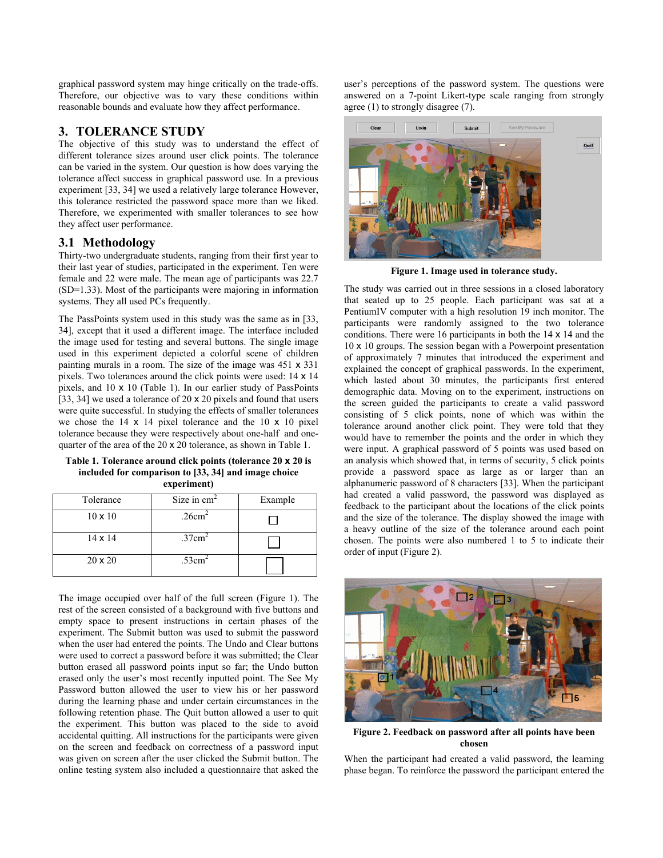graphical password system may hinge critically on the trade-offs. Therefore, our objective was to vary these conditions within reasonable bounds and evaluate how they affect performance.

### **3. TOLERANCE STUDY**

The objective of this study was to understand the effect of different tolerance sizes around user click points. The tolerance can be varied in the system. Our question is how does varying the tolerance affect success in graphical password use. In a previous experiment [33, 34] we used a relatively large tolerance However, this tolerance restricted the password space more than we liked. Therefore, we experimented with smaller tolerances to see how they affect user performance.

#### **3.1 Methodology**

Thirty-two undergraduate students, ranging from their first year to their last year of studies, participated in the experiment. Ten were female and 22 were male. The mean age of participants was 22.7 (SD=1.33). Most of the participants were majoring in information systems. They all used PCs frequently.

The PassPoints system used in this study was the same as in [33, 34], except that it used a different image. The interface included the image used for testing and several buttons. The single image used in this experiment depicted a colorful scene of children painting murals in a room. The size of the image was 451 х 331 pixels. Two tolerances around the click points were used: 14 х 14 pixels, and 10 х 10 (Table 1). In our earlier study of PassPoints [33, 34] we used a tolerance of 20 x 20 pixels and found that users were quite successful. In studying the effects of smaller tolerances we chose the 14 x 14 pixel tolerance and the 10 x 10 pixel tolerance because they were respectively about one-half and onequarter of the area of the 20 х 20 tolerance, as shown in Table 1.

#### **Table 1. Tolerance around click points (tolerance 20 х 20 is included for comparison to [33, 34] and image choice experiment)**

| Tolerance      | Size in $cm2$      | Example |
|----------------|--------------------|---------|
| $10 \times 10$ | 26cm <sup>2</sup>  |         |
| 14 x 14        | .37cm <sup>2</sup> |         |
| $20 \times 20$ | .53cm <sup>2</sup> |         |

The image occupied over half of the full screen (Figure 1). The rest of the screen consisted of a background with five buttons and empty space to present instructions in certain phases of the experiment. The Submit button was used to submit the password when the user had entered the points. The Undo and Clear buttons were used to correct a password before it was submitted; the Clear button erased all password points input so far; the Undo button erased only the user's most recently inputted point. The See My Password button allowed the user to view his or her password during the learning phase and under certain circumstances in the following retention phase. The Quit button allowed a user to quit the experiment. This button was placed to the side to avoid accidental quitting. All instructions for the participants were given on the screen and feedback on correctness of a password input was given on screen after the user clicked the Submit button. The online testing system also included a questionnaire that asked the

user's perceptions of the password system. The questions were answered on a 7-point Likert-type scale ranging from strongly agree (1) to strongly disagree (7).



**Figure 1. Image used in tolerance study.** 

The study was carried out in three sessions in a closed laboratory that seated up to 25 people. Each participant was sat at a PentiumIV computer with a high resolution 19 inch monitor. The participants were randomly assigned to the two tolerance conditions. There were 16 participants in both the 14 х 14 and the 10 х 10 groups. The session began with a Powerpoint presentation of approximately 7 minutes that introduced the experiment and explained the concept of graphical passwords. In the experiment, which lasted about 30 minutes, the participants first entered demographic data. Moving on to the experiment, instructions on the screen guided the participants to create a valid password consisting of 5 click points, none of which was within the tolerance around another click point. They were told that they would have to remember the points and the order in which they were input. A graphical password of 5 points was used based on an analysis which showed that, in terms of security, 5 click points provide a password space as large as or larger than an alphanumeric password of 8 characters [33]. When the participant had created a valid password, the password was displayed as feedback to the participant about the locations of the click points and the size of the tolerance. The display showed the image with a heavy outline of the size of the tolerance around each point chosen. The points were also numbered 1 to 5 to indicate their order of input (Figure 2).



**Figure 2. Feedback on password after all points have been chosen** 

When the participant had created a valid password, the learning phase began. To reinforce the password the participant entered the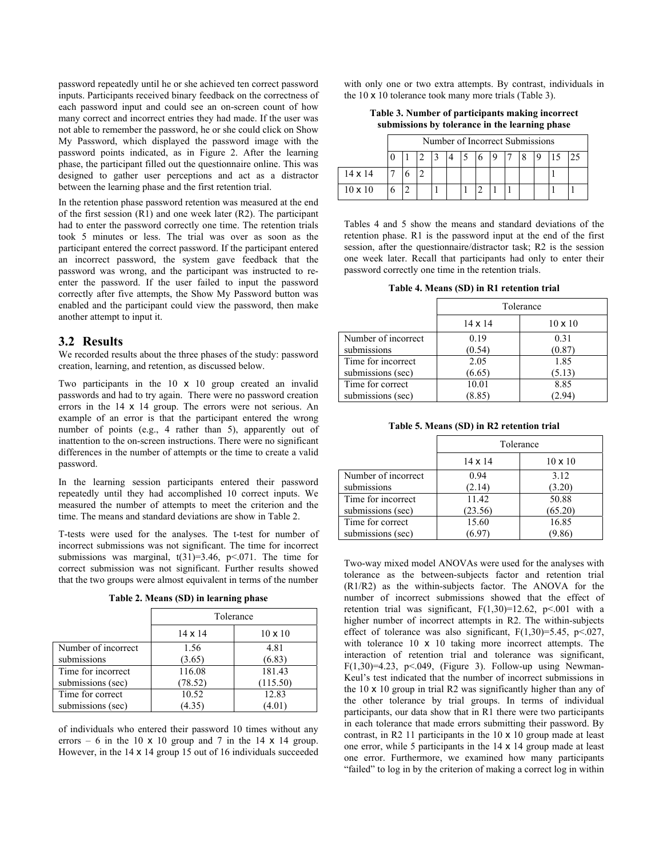password repeatedly until he or she achieved ten correct password inputs. Participants received binary feedback on the correctness of each password input and could see an on-screen count of how many correct and incorrect entries they had made. If the user was not able to remember the password, he or she could click on Show My Password, which displayed the password image with the password points indicated, as in Figure 2. After the learning phase, the participant filled out the questionnaire online. This was designed to gather user perceptions and act as a distractor between the learning phase and the first retention trial.

In the retention phase password retention was measured at the end of the first session (R1) and one week later (R2). The participant had to enter the password correctly one time. The retention trials took 5 minutes or less. The trial was over as soon as the participant entered the correct password. If the participant entered an incorrect password, the system gave feedback that the password was wrong, and the participant was instructed to reenter the password. If the user failed to input the password correctly after five attempts, the Show My Password button was enabled and the participant could view the password, then make another attempt to input it.

#### **3.2 Results**

We recorded results about the three phases of the study: password creation, learning, and retention, as discussed below.

Two participants in the 10 x 10 group created an invalid passwords and had to try again. There were no password creation errors in the 14 х 14 group. The errors were not serious. An example of an error is that the participant entered the wrong number of points (e.g., 4 rather than 5), apparently out of inattention to the on-screen instructions. There were no significant differences in the number of attempts or the time to create a valid password.

In the learning session participants entered their password repeatedly until they had accomplished 10 correct inputs. We measured the number of attempts to meet the criterion and the time. The means and standard deviations are show in Table 2.

T-tests were used for the analyses. The t-test for number of incorrect submissions was not significant. The time for incorrect submissions was marginal,  $t(31)=3.46$ ,  $p<.071$ . The time for correct submission was not significant. Further results showed that the two groups were almost equivalent in terms of the number

**Table 2. Means (SD) in learning phase** 

|                     | Tolerance      |                |  |  |  |  |
|---------------------|----------------|----------------|--|--|--|--|
|                     | $14 \times 14$ | $10 \times 10$ |  |  |  |  |
| Number of incorrect | 1.56           | 4.81           |  |  |  |  |
| submissions         | (3.65)         | (6.83)         |  |  |  |  |
| Time for incorrect  | 116.08         | 181.43         |  |  |  |  |
| submissions (sec)   | (78.52)        | (115.50)       |  |  |  |  |
| Time for correct    | 10.52          | 12.83          |  |  |  |  |
| submissions (sec)   | (4.35)         | (4.01)         |  |  |  |  |

of individuals who entered their password 10 times without any errors – 6 in the 10 x 10 group and 7 in the 14 x 14 group. However, in the 14 x 14 group 15 out of 16 individuals succeeded with only one or two extra attempts. By contrast, individuals in the 10 x 10 tolerance took many more trials (Table 3).

**Table 3. Number of participants making incorrect submissions by tolerance in the learning phase** 

|                | Number of Incorrect Submissions |  |  |  |  |  |  |  |  |  |  |
|----------------|---------------------------------|--|--|--|--|--|--|--|--|--|--|
|                |                                 |  |  |  |  |  |  |  |  |  |  |
| $14 \times 14$ |                                 |  |  |  |  |  |  |  |  |  |  |
| $10 \times 10$ |                                 |  |  |  |  |  |  |  |  |  |  |

Tables 4 and 5 show the means and standard deviations of the retention phase. R1 is the password input at the end of the first session, after the questionnaire/distractor task; R2 is the session one week later. Recall that participants had only to enter their password correctly one time in the retention trials.

**Table 4. Means (SD) in R1 retention trial** 

|                     | Tolerance      |                |  |  |  |  |
|---------------------|----------------|----------------|--|--|--|--|
|                     | $14 \times 14$ | $10 \times 10$ |  |  |  |  |
| Number of incorrect | 0.19           | 0.31           |  |  |  |  |
| submissions         | (0.54)         | (0.87)         |  |  |  |  |
| Time for incorrect  | 2.05           | 1.85           |  |  |  |  |
| submissions (sec)   | (6.65)         | (5.13)         |  |  |  |  |
| Time for correct    | 10.01          | 8.85           |  |  |  |  |
| submissions (sec)   | (8.85)         | (2.94)         |  |  |  |  |

**Table 5. Means (SD) in R2 retention trial** 

|                     | Tolerance      |                |  |  |  |  |
|---------------------|----------------|----------------|--|--|--|--|
|                     | $14 \times 14$ | $10 \times 10$ |  |  |  |  |
| Number of incorrect | 0.94           | 3.12           |  |  |  |  |
| submissions         | (2.14)         | (3.20)         |  |  |  |  |
| Time for incorrect  | 11.42          | 50.88          |  |  |  |  |
| submissions (sec)   | (23.56)        | (65.20)        |  |  |  |  |
| Time for correct    | 15.60          | 16.85          |  |  |  |  |
| submissions (sec)   | (6.97          | (9.86)         |  |  |  |  |

Two-way mixed model ANOVAs were used for the analyses with tolerance as the between-subjects factor and retention trial (R1/R2) as the within-subjects factor. The ANOVA for the number of incorrect submissions showed that the effect of retention trial was significant,  $F(1,30)=12.62$ ,  $p<0.01$  with a higher number of incorrect attempts in R2. The within-subjects effect of tolerance was also significant,  $F(1,30)=5.45$ ,  $p<.027$ , with tolerance 10 x 10 taking more incorrect attempts. The interaction of retention trial and tolerance was significant, F(1,30)=4.23, p<.049, (Figure 3). Follow-up using Newman-Keul's test indicated that the number of incorrect submissions in the 10 х 10 group in trial R2 was significantly higher than any of the other tolerance by trial groups. In terms of individual participants, our data show that in R1 there were two participants in each tolerance that made errors submitting their password. By contrast, in R2 11 participants in the 10 х 10 group made at least one error, while 5 participants in the 14 х 14 group made at least one error. Furthermore, we examined how many participants "failed" to log in by the criterion of making a correct log in within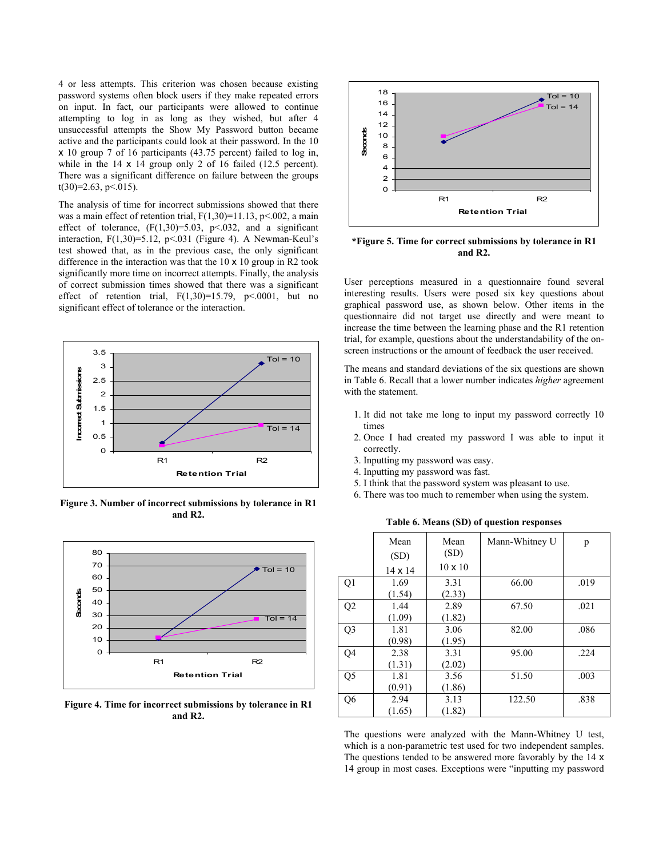4 or less attempts. This criterion was chosen because existing password systems often block users if they make repeated errors on input. In fact, our participants were allowed to continue attempting to log in as long as they wished, but after 4 unsuccessful attempts the Show My Password button became active and the participants could look at their password. In the 10 х 10 group 7 of 16 participants (43.75 percent) failed to log in, while in the 14 x 14 group only 2 of 16 failed (12.5 percent). There was a significant difference on failure between the groups  $t(30)=2.63, p<.015$ ).

The analysis of time for incorrect submissions showed that there was a main effect of retention trial,  $F(1,30)=11.13$ ,  $p<.002$ , a main effect of tolerance,  $(F(1,30)=5.03, p<0.032,$  and a significant interaction,  $F(1,30)=5.12$ ,  $p<031$  (Figure 4). A Newman-Keul's test showed that, as in the previous case, the only significant difference in the interaction was that the 10 х 10 group in R2 took significantly more time on incorrect attempts. Finally, the analysis of correct submission times showed that there was a significant effect of retention trial,  $F(1,30)=15.79$ ,  $p<.0001$ , but no significant effect of tolerance or the interaction.



**Figure 3. Number of incorrect submissions by tolerance in R1 and R2.** 



**Figure 4. Time for incorrect submissions by tolerance in R1 and R2.** 



**\*Figure 5. Time for correct submissions by tolerance in R1 and R2.** 

User perceptions measured in a questionnaire found several interesting results. Users were posed six key questions about graphical password use, as shown below. Other items in the questionnaire did not target use directly and were meant to increase the time between the learning phase and the R1 retention trial, for example, questions about the understandability of the onscreen instructions or the amount of feedback the user received.

The means and standard deviations of the six questions are shown in Table 6. Recall that a lower number indicates *higher* agreement with the statement.

- 1. It did not take me long to input my password correctly 10 times
- 2. Once I had created my password I was able to input it correctly.
- 3. Inputting my password was easy.
- 4. Inputting my password was fast.
- 5. I think that the password system was pleasant to use.
- 6. There was too much to remember when using the system.

**Table 6. Means (SD) of question responses** 

|    | Mean<br>(SD)<br>14 x 14 | Mean<br>(SD)<br>$10 \times 10$ | Mann-Whitney U | p    |
|----|-------------------------|--------------------------------|----------------|------|
| Q1 | 1.69                    | 3.31                           | 66.00          | .019 |
|    | (1.54)                  | (2.33)                         |                |      |
| Q2 | 1.44                    | 2.89                           | 67.50          | .021 |
|    | (1.09)                  | (1.82)                         |                |      |
| Q3 | 1.81                    | 3.06                           | 82.00          | .086 |
|    | (0.98)                  | (1.95)                         |                |      |
| Q4 | 2.38                    | 3.31                           | 95.00          | .224 |
|    | (1.31)                  | (2.02)                         |                |      |
| Q5 | 1.81                    | 3.56                           | 51.50          | .003 |
|    | (0.91)                  | (1.86)                         |                |      |
| Q6 | 2.94                    | 3.13                           | 122.50         | .838 |
|    | (1.65)                  | (1.82)                         |                |      |

The questions were analyzed with the Mann-Whitney U test, which is a non-parametric test used for two independent samples. The questions tended to be answered more favorably by the 14 x 14 group in most cases. Exceptions were "inputting my password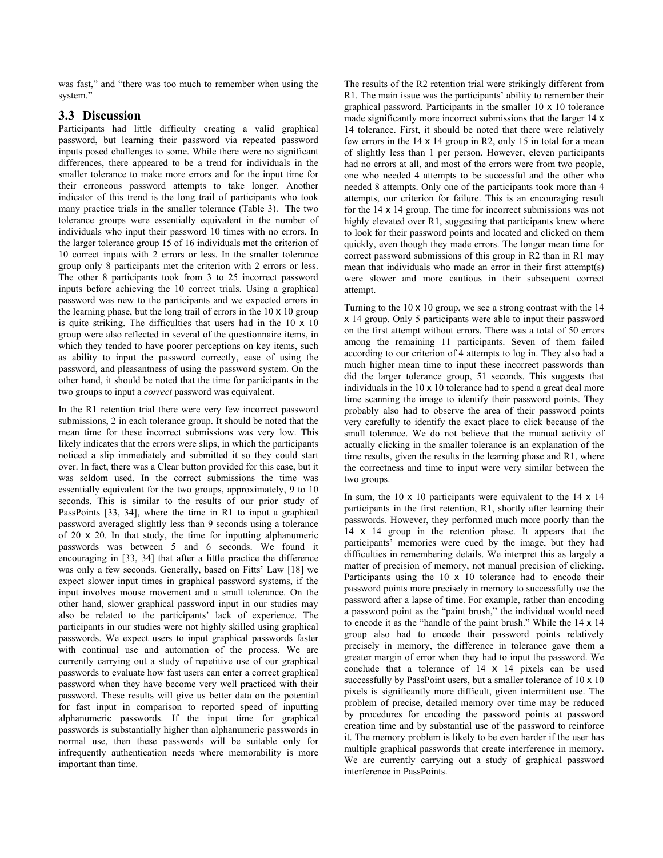was fast," and "there was too much to remember when using the system."

## **3.3 Discussion**

Participants had little difficulty creating a valid graphical password, but learning their password via repeated password inputs posed challenges to some. While there were no significant differences, there appeared to be a trend for individuals in the smaller tolerance to make more errors and for the input time for their erroneous password attempts to take longer. Another indicator of this trend is the long trail of participants who took many practice trials in the smaller tolerance (Table 3). The two tolerance groups were essentially equivalent in the number of individuals who input their password 10 times with no errors. In the larger tolerance group 15 of 16 individuals met the criterion of 10 correct inputs with 2 errors or less. In the smaller tolerance group only 8 participants met the criterion with 2 errors or less. The other 8 participants took from 3 to 25 incorrect password inputs before achieving the 10 correct trials. Using a graphical password was new to the participants and we expected errors in the learning phase, but the long trail of errors in the 10 х 10 group is quite striking. The difficulties that users had in the 10 х 10 group were also reflected in several of the questionnaire items, in which they tended to have poorer perceptions on key items, such as ability to input the password correctly, ease of using the password, and pleasantness of using the password system. On the other hand, it should be noted that the time for participants in the two groups to input a *correct* password was equivalent.

In the R1 retention trial there were very few incorrect password submissions, 2 in each tolerance group. It should be noted that the mean time for these incorrect submissions was very low. This likely indicates that the errors were slips, in which the participants noticed a slip immediately and submitted it so they could start over. In fact, there was a Clear button provided for this case, but it was seldom used. In the correct submissions the time was essentially equivalent for the two groups, approximately, 9 to 10 seconds. This is similar to the results of our prior study of PassPoints [33, 34], where the time in R1 to input a graphical password averaged slightly less than 9 seconds using a tolerance of 20 х 20. In that study, the time for inputting alphanumeric passwords was between 5 and 6 seconds. We found it encouraging in [33, 34] that after a little practice the difference was only a few seconds. Generally, based on Fitts' Law [18] we expect slower input times in graphical password systems, if the input involves mouse movement and a small tolerance. On the other hand, slower graphical password input in our studies may also be related to the participants' lack of experience. The participants in our studies were not highly skilled using graphical passwords. We expect users to input graphical passwords faster with continual use and automation of the process. We are currently carrying out a study of repetitive use of our graphical passwords to evaluate how fast users can enter a correct graphical password when they have become very well practiced with their password. These results will give us better data on the potential for fast input in comparison to reported speed of inputting alphanumeric passwords. If the input time for graphical passwords is substantially higher than alphanumeric passwords in normal use, then these passwords will be suitable only for infrequently authentication needs where memorability is more important than time.

The results of the R2 retention trial were strikingly different from R1. The main issue was the participants' ability to remember their graphical password. Participants in the smaller 10 х 10 tolerance made significantly more incorrect submissions that the larger 14 x 14 tolerance. First, it should be noted that there were relatively few errors in the 14 x 14 group in R2, only 15 in total for a mean of slightly less than 1 per person. However, eleven participants had no errors at all, and most of the errors were from two people, one who needed 4 attempts to be successful and the other who needed 8 attempts. Only one of the participants took more than 4 attempts, our criterion for failure. This is an encouraging result for the 14 x 14 group. The time for incorrect submissions was not highly elevated over R1, suggesting that participants knew where to look for their password points and located and clicked on them quickly, even though they made errors. The longer mean time for correct password submissions of this group in R2 than in R1 may mean that individuals who made an error in their first attempt(s) were slower and more cautious in their subsequent correct attempt.

Turning to the 10 х 10 group, we see a strong contrast with the 14 х 14 group. Only 5 participants were able to input their password on the first attempt without errors. There was a total of 50 errors among the remaining 11 participants. Seven of them failed according to our criterion of 4 attempts to log in. They also had a much higher mean time to input these incorrect passwords than did the larger tolerance group, 51 seconds. This suggests that individuals in the 10 х 10 tolerance had to spend a great deal more time scanning the image to identify their password points. They probably also had to observe the area of their password points very carefully to identify the exact place to click because of the small tolerance. We do not believe that the manual activity of actually clicking in the smaller tolerance is an explanation of the time results, given the results in the learning phase and R1, where the correctness and time to input were very similar between the two groups.

In sum, the  $10 \times 10$  participants were equivalent to the  $14 \times 14$ participants in the first retention, R1, shortly after learning their passwords. However, they performed much more poorly than the 14 х 14 group in the retention phase. It appears that the participants' memories were cued by the image, but they had difficulties in remembering details. We interpret this as largely a matter of precision of memory, not manual precision of clicking. Participants using the 10 x 10 tolerance had to encode their password points more precisely in memory to successfully use the password after a lapse of time. For example, rather than encoding a password point as the "paint brush," the individual would need to encode it as the "handle of the paint brush." While the 14 х 14 group also had to encode their password points relatively precisely in memory, the difference in tolerance gave them a greater margin of error when they had to input the password. We conclude that a tolerance of 14 х 14 pixels can be used successfully by PassPoint users, but a smaller tolerance of  $10 \times 10$ pixels is significantly more difficult, given intermittent use. The problem of precise, detailed memory over time may be reduced by procedures for encoding the password points at password creation time and by substantial use of the password to reinforce it. The memory problem is likely to be even harder if the user has multiple graphical passwords that create interference in memory. We are currently carrying out a study of graphical password interference in PassPoints.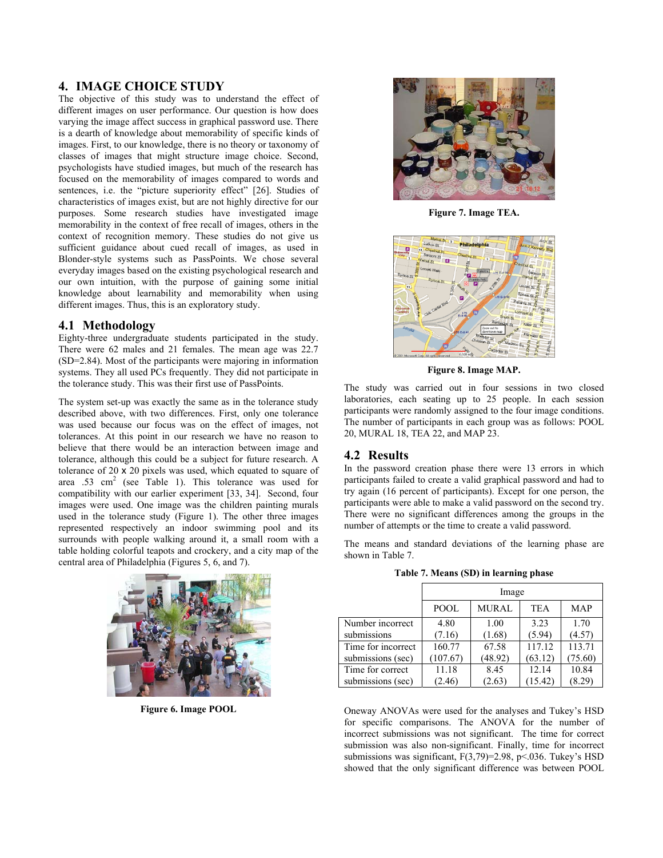## **4. IMAGE CHOICE STUDY**

The objective of this study was to understand the effect of different images on user performance. Our question is how does varying the image affect success in graphical password use. There is a dearth of knowledge about memorability of specific kinds of images. First, to our knowledge, there is no theory or taxonomy of classes of images that might structure image choice. Second, psychologists have studied images, but much of the research has focused on the memorability of images compared to words and sentences, i.e. the "picture superiority effect" [26]. Studies of characteristics of images exist, but are not highly directive for our purposes. Some research studies have investigated image memorability in the context of free recall of images, others in the context of recognition memory. These studies do not give us sufficient guidance about cued recall of images, as used in Blonder-style systems such as PassPoints. We chose several everyday images based on the existing psychological research and our own intuition, with the purpose of gaining some initial knowledge about learnability and memorability when using different images. Thus, this is an exploratory study.

#### **4.1 Methodology**

Eighty-three undergraduate students participated in the study. There were 62 males and 21 females. The mean age was 22.7 (SD=2.84). Most of the participants were majoring in information systems. They all used PCs frequently. They did not participate in the tolerance study. This was their first use of PassPoints.

The system set-up was exactly the same as in the tolerance study described above, with two differences. First, only one tolerance was used because our focus was on the effect of images, not tolerances. At this point in our research we have no reason to believe that there would be an interaction between image and tolerance, although this could be a subject for future research. A tolerance of 20 х 20 pixels was used, which equated to square of area .53  $\text{cm}^2$  (see Table 1). This tolerance was used for compatibility with our earlier experiment [33, 34]. Second, four images were used. One image was the children painting murals used in the tolerance study (Figure 1). The other three images represented respectively an indoor swimming pool and its surrounds with people walking around it, a small room with a table holding colorful teapots and crockery, and a city map of the central area of Philadelphia (Figures 5, 6, and 7).



**Figure 6. Image POOL** 



**Figure 7. Image TEA.** 



**Figure 8. Image MAP.** 

The study was carried out in four sessions in two closed laboratories, each seating up to 25 people. In each session participants were randomly assigned to the four image conditions. The number of participants in each group was as follows: POOL 20, MURAL 18, TEA 22, and MAP 23.

#### **4.2 Results**

In the password creation phase there were 13 errors in which participants failed to create a valid graphical password and had to try again (16 percent of participants). Except for one person, the participants were able to make a valid password on the second try. There were no significant differences among the groups in the number of attempts or the time to create a valid password.

The means and standard deviations of the learning phase are shown in Table 7.

|                    |             | Image        |            |            |  |  |  |  |  |
|--------------------|-------------|--------------|------------|------------|--|--|--|--|--|
|                    | <b>POOL</b> | <b>MURAL</b> | <b>TEA</b> | <b>MAP</b> |  |  |  |  |  |
| Number incorrect   | 4.80        | 1.00         | 3.23       | 1.70       |  |  |  |  |  |
| submissions        | (7.16)      | (1.68)       | (5.94)     | (4.57)     |  |  |  |  |  |
| Time for incorrect | 160.77      | 67.58        | 117.12     | 113.71     |  |  |  |  |  |
| submissions (sec)  | (107.67)    | (48.92)      | (63.12)    | (75.60)    |  |  |  |  |  |
| Time for correct   | 11.18       | 8.45         | 12.14      | 10.84      |  |  |  |  |  |
| submissions (sec)  | (2.46)      | (2.63)       | (15.42)    | (8.29)     |  |  |  |  |  |

**Table 7. Means (SD) in learning phase** 

Oneway ANOVAs were used for the analyses and Tukey's HSD for specific comparisons. The ANOVA for the number of incorrect submissions was not significant. The time for correct submission was also non-significant. Finally, time for incorrect submissions was significant, F(3,79)=2.98, p<.036. Tukey's HSD showed that the only significant difference was between POOL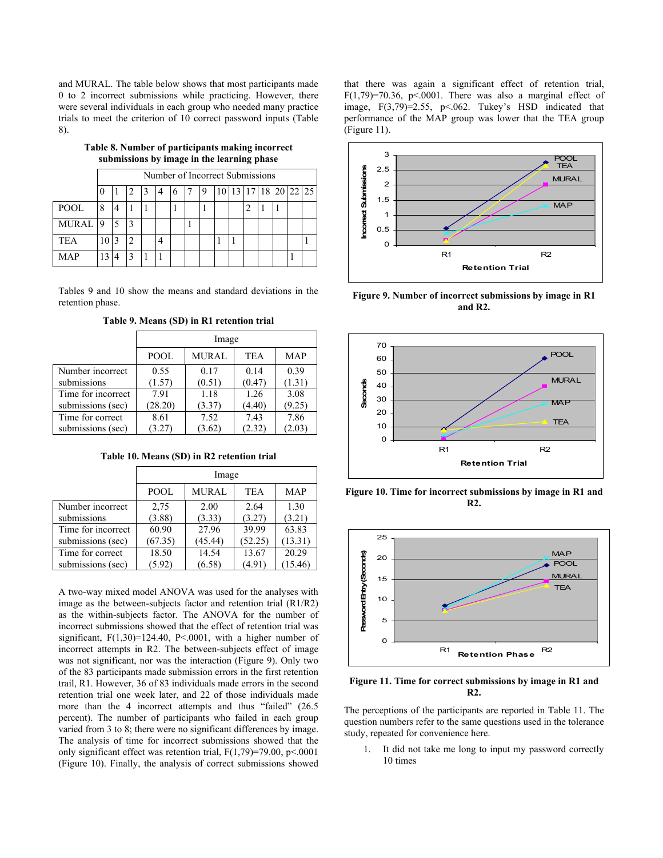and MURAL. The table below shows that most participants made 0 to 2 incorrect submissions while practicing. However, there were several individuals in each group who needed many practice trials to meet the criterion of 10 correct password inputs (Table 8).

**Table 8. Number of participants making incorrect submissions by image in the learning phase** 

|                     |   | Number of Incorrect Submissions |    |    |   |   |  |  |  |  |  |  |                      |  |
|---------------------|---|---------------------------------|----|----|---|---|--|--|--|--|--|--|----------------------|--|
|                     |   |                                 |    | 13 | 4 | 6 |  |  |  |  |  |  | 10 13 17 18 20 22 25 |  |
| <b>POOL</b>         | 8 |                                 |    |    |   |   |  |  |  |  |  |  |                      |  |
| MURAL <sup>19</sup> |   | .5                              | 13 |    |   |   |  |  |  |  |  |  |                      |  |
| <b>TEA</b>          |   |                                 |    |    |   |   |  |  |  |  |  |  |                      |  |
| MAP                 |   |                                 |    |    |   |   |  |  |  |  |  |  |                      |  |

Tables 9 and 10 show the means and standard deviations in the retention phase.

|                    | Image       |              |        |            |  |  |  |
|--------------------|-------------|--------------|--------|------------|--|--|--|
|                    | <b>POOL</b> | <b>MURAL</b> | TEA    | <b>MAP</b> |  |  |  |
| Number incorrect   | 0.55        | 0.17         | 0.14   | 0.39       |  |  |  |
| submissions        | (1.57)      | (0.51)       | (0.47) | (1.31)     |  |  |  |
| Time for incorrect | 791         | 1.18         | 1.26   | 3.08       |  |  |  |
| submissions (sec)  | (28.20)     | (3.37)       | (4.40) | (9.25)     |  |  |  |
| Time for correct   | 8.61        | 7.52         | 7.43   | 7.86       |  |  |  |
| submissions (sec)  | (3.27)      | (3.62)       | (2.32) | (2.03)     |  |  |  |

**Table 9. Means (SD) in R1 retention trial** 

|                    | Image       |              |            |            |  |  |  |
|--------------------|-------------|--------------|------------|------------|--|--|--|
|                    | <b>POOL</b> | <b>MURAL</b> | <b>TEA</b> | <b>MAP</b> |  |  |  |
| Number incorrect   | 2.75        | 2.00         | 2.64       | 1.30       |  |  |  |
| submissions        | (3.88)      | (3.33)       | (3.27)     | (3.21)     |  |  |  |
| Time for incorrect | 60.90       | 27.96        | 39.99      | 63.83      |  |  |  |
| submissions (sec)  | (67.35)     | (45.44)      | (52.25)    | (13.31)    |  |  |  |
| Time for correct   | 18.50       | 14.54        | 13.67      | 20.29      |  |  |  |
| submissions (sec)  | (5.92)      | (6.58)       | (4.91)     | (15.46)    |  |  |  |

A two-way mixed model ANOVA was used for the analyses with image as the between-subjects factor and retention trial (R1/R2) as the within-subjects factor. The ANOVA for the number of incorrect submissions showed that the effect of retention trial was significant,  $F(1,30)=124.40$ ,  $P<.0001$ , with a higher number of incorrect attempts in R2. The between-subjects effect of image was not significant, nor was the interaction (Figure 9). Only two of the 83 participants made submission errors in the first retention trail, R1. However, 36 of 83 individuals made errors in the second retention trial one week later, and 22 of those individuals made more than the 4 incorrect attempts and thus "failed" (26.5) percent). The number of participants who failed in each group varied from 3 to 8; there were no significant differences by image. The analysis of time for incorrect submissions showed that the only significant effect was retention trial,  $F(1,79)=79.00$ ,  $p<.0001$ (Figure 10). Finally, the analysis of correct submissions showed

that there was again a significant effect of retention trial, F(1,79)=70.36, p < 0001. There was also a marginal effect of image,  $F(3,79)=2.55$ ,  $p<0.62$ . Tukey's HSD indicated that performance of the MAP group was lower that the TEA group (Figure 11).



**Figure 9. Number of incorrect submissions by image in R1 and R2.** 



**Figure 10. Time for incorrect submissions by image in R1 and R2.** 



**Figure 11. Time for correct submissions by image in R1 and R2.** 

The perceptions of the participants are reported in Table 11. The question numbers refer to the same questions used in the tolerance study, repeated for convenience here.

1. It did not take me long to input my password correctly 10 times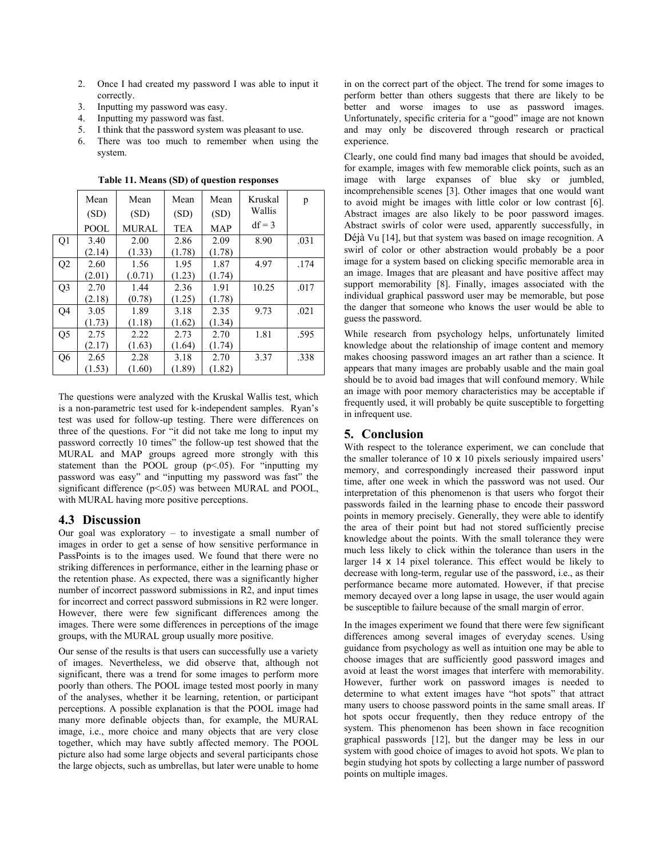- 2. Once I had created my password I was able to input it correctly.
- 3. Inputting my password was easy.
- 4. Inputting my password was fast.
- 5. I think that the password system was pleasant to use.
- 6. There was too much to remember when using the system.

|                | Mean        | Mean    | Mean       | Mean       | Kruskal  | p    |
|----------------|-------------|---------|------------|------------|----------|------|
|                | (SD)        | (SD)    | (SD)       | (SD)       | Wallis   |      |
|                | <b>POOL</b> | MURAL   | <b>TEA</b> | <b>MAP</b> | $df = 3$ |      |
| Q1             | 3.40        | 2.00    | 2.86       | 2.09       | 8.90     | .031 |
|                | (2.14)      | (1.33)  | (1.78)     | (1.78)     |          |      |
| Q <sub>2</sub> | 2.60        | 1.56    | 1.95       | 1.87       | 4.97     | .174 |
|                | (2.01)      | (.0.71) | (1.23)     | (1.74)     |          |      |
| Q3             | 2.70        | 1.44    | 2.36       | 1.91       | 10.25    | .017 |
|                | (2.18)      | (0.78)  | (1.25)     | (1.78)     |          |      |
| Q4             | 3.05        | 1.89    | 3.18       | 2.35       | 9.73     | .021 |
|                | (1.73)      | (1.18)  | (1.62)     | (1.34)     |          |      |
| Q <sub>5</sub> | 2.75        | 2.22    | 2.73       | 2.70       | 1.81     | .595 |
|                | (2.17)      | (1.63)  | (1.64)     | (1.74)     |          |      |
| Q6             | 2.65        | 2.28    | 3.18       | 2.70       | 3.37     | .338 |
|                | (1.53)      | (1.60)  | (1.89)     | (1.82)     |          |      |

**Table 11. Means (SD) of question responses** 

The questions were analyzed with the Kruskal Wallis test, which is a non-parametric test used for k-independent samples. Ryan's test was used for follow-up testing. There were differences on three of the questions. For "it did not take me long to input my password correctly 10 times" the follow-up test showed that the MURAL and MAP groups agreed more strongly with this statement than the POOL group  $(p<.05)$ . For "inputting my password was easy" and "inputting my password was fast" the significant difference (p<.05) was between MURAL and POOL, with MURAL having more positive perceptions.

## **4.3 Discussion**

Our goal was exploratory – to investigate a small number of images in order to get a sense of how sensitive performance in PassPoints is to the images used. We found that there were no striking differences in performance, either in the learning phase or the retention phase. As expected, there was a significantly higher number of incorrect password submissions in R2, and input times for incorrect and correct password submissions in R2 were longer. However, there were few significant differences among the images. There were some differences in perceptions of the image groups, with the MURAL group usually more positive.

Our sense of the results is that users can successfully use a variety of images. Nevertheless, we did observe that, although not significant, there was a trend for some images to perform more poorly than others. The POOL image tested most poorly in many of the analyses, whether it be learning, retention, or participant perceptions. A possible explanation is that the POOL image had many more definable objects than, for example, the MURAL image, i.e., more choice and many objects that are very close together, which may have subtly affected memory. The POOL picture also had some large objects and several participants chose the large objects, such as umbrellas, but later were unable to home in on the correct part of the object. The trend for some images to perform better than others suggests that there are likely to be better and worse images to use as password images. Unfortunately, specific criteria for a "good" image are not known and may only be discovered through research or practical experience.

Clearly, one could find many bad images that should be avoided, for example, images with few memorable click points, such as an image with large expanses of blue sky or jumbled, incomprehensible scenes [3]. Other images that one would want to avoid might be images with little color or low contrast [6]. Abstract images are also likely to be poor password images. Abstract swirls of color were used, apparently successfully, in Déjà Vu [14], but that system was based on image recognition. A swirl of color or other abstraction would probably be a poor image for a system based on clicking specific memorable area in an image. Images that are pleasant and have positive affect may support memorability [8]. Finally, images associated with the individual graphical password user may be memorable, but pose the danger that someone who knows the user would be able to guess the password.

While research from psychology helps, unfortunately limited knowledge about the relationship of image content and memory makes choosing password images an art rather than a science. It appears that many images are probably usable and the main goal should be to avoid bad images that will confound memory. While an image with poor memory characteristics may be acceptable if frequently used, it will probably be quite susceptible to forgetting in infrequent use.

# **5. Conclusion**

With respect to the tolerance experiment, we can conclude that the smaller tolerance of 10 х 10 pixels seriously impaired users' memory, and correspondingly increased their password input time, after one week in which the password was not used. Our interpretation of this phenomenon is that users who forgot their passwords failed in the learning phase to encode their password points in memory precisely. Generally, they were able to identify the area of their point but had not stored sufficiently precise knowledge about the points. With the small tolerance they were much less likely to click within the tolerance than users in the larger 14 х 14 pixel tolerance. This effect would be likely to decrease with long-term, regular use of the password, i.e., as their performance became more automated. However, if that precise memory decayed over a long lapse in usage, the user would again be susceptible to failure because of the small margin of error.

In the images experiment we found that there were few significant differences among several images of everyday scenes. Using guidance from psychology as well as intuition one may be able to choose images that are sufficiently good password images and avoid at least the worst images that interfere with memorability. However, further work on password images is needed to determine to what extent images have "hot spots" that attract many users to choose password points in the same small areas. If hot spots occur frequently, then they reduce entropy of the system. This phenomenon has been shown in face recognition graphical passwords [12], but the danger may be less in our system with good choice of images to avoid hot spots. We plan to begin studying hot spots by collecting a large number of password points on multiple images.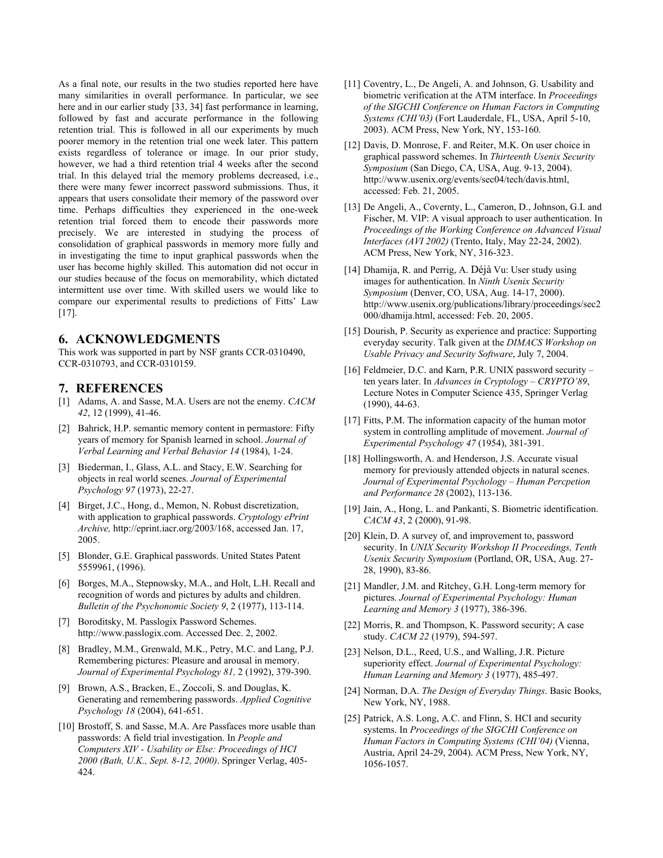As a final note, our results in the two studies reported here have many similarities in overall performance. In particular, we see here and in our earlier study [33, 34] fast performance in learning, followed by fast and accurate performance in the following retention trial. This is followed in all our experiments by much poorer memory in the retention trial one week later. This pattern exists regardless of tolerance or image. In our prior study, however, we had a third retention trial 4 weeks after the second trial. In this delayed trial the memory problems decreased, i.e., there were many fewer incorrect password submissions. Thus, it appears that users consolidate their memory of the password over time. Perhaps difficulties they experienced in the one-week retention trial forced them to encode their passwords more precisely. We are interested in studying the process of consolidation of graphical passwords in memory more fully and in investigating the time to input graphical passwords when the user has become highly skilled. This automation did not occur in our studies because of the focus on memorability, which dictated intermittent use over time. With skilled users we would like to compare our experimental results to predictions of Fitts' Law [17].

## **6. ACKNOWLEDGMENTS**

This work was supported in part by NSF grants CCR-0310490, CCR-0310793, and CCR-0310159.

## **7. REFERENCES**

- [1] Adams, A. and Sasse, M.A. Users are not the enemy. *CACM 42*, 12 (1999), 41-46.
- [2] Bahrick, H.P. semantic memory content in permastore: Fifty years of memory for Spanish learned in school. *Journal of Verbal Learning and Verbal Behavior 14* (1984), 1-24.
- [3] Biederman, I., Glass, A.L. and Stacy, E.W. Searching for objects in real world scenes. *Journal of Experimental Psychology 97* (1973), 22-27.
- [4] Birget, J.C., Hong, d., Memon, N. Robust discretization, with application to graphical passwords. *Cryptology ePrint Archive,* http://eprint.iacr.org/2003/168, accessed Jan. 17, 2005.
- [5] Blonder, G.E. Graphical passwords. United States Patent 5559961, (1996).
- [6] Borges, M.A., Stepnowsky, M.A., and Holt, L.H. Recall and recognition of words and pictures by adults and children. *Bulletin of the Psychonomic Society 9*, 2 (1977), 113-114.
- [7] Boroditsky, M. Passlogix Password Schemes. http://www.passlogix.com. Accessed Dec. 2, 2002.
- [8] Bradley, M.M., Grenwald, M.K., Petry, M.C. and Lang, P.J. Remembering pictures: Pleasure and arousal in memory. *Journal of Experimental Psychology 81,* 2 (1992), 379-390.
- [9] Brown, A.S., Bracken, E., Zoccoli, S. and Douglas, K. Generating and remembering passwords. *Applied Cognitive Psychology 18* (2004), 641-651.
- [10] Brostoff, S. and Sasse, M.A. Are Passfaces more usable than passwords: A field trial investigation. In *People and Computers XIV - Usability or Else: Proceedings of HCI 2000 (Bath, U.K., Sept. 8-12, 2000)*. Springer Verlag, 405- 424.
- [11] Coventry, L., De Angeli, A. and Johnson, G. Usability and biometric verification at the ATM interface. In *Proceedings of the SIGCHI Conference on Human Factors in Computing Systems (CHI'03)* (Fort Lauderdale, FL, USA, April 5-10, 2003). ACM Press, New York, NY, 153-160.
- [12] Davis, D. Monrose, F. and Reiter, M.K. On user choice in graphical password schemes. In *Thirteenth Usenix Security Symposium* (San Diego, CA, USA, Aug. 9-13, 2004). http://www.usenix.org/events/sec04/tech/davis.html, accessed: Feb. 21, 2005.
- [13] De Angeli, A., Covernty, L., Cameron, D., Johnson, G.I. and Fischer, M. VIP: A visual approach to user authentication. In *Proceedings of the Working Conference on Advanced Visual Interfaces (AVI 2002)* (Trento, Italy, May 22-24, 2002). ACM Press, New York, NY, 316-323.
- [14] Dhamija, R. and Perrig, A. Déjà Vu: User study using images for authentication. In *Ninth Usenix Security Symposium* (Denver, CO, USA, Aug. 14-17, 2000). http://www.usenix.org/publications/library/proceedings/sec2 000/dhamija.html, accessed: Feb. 20, 2005.
- [15] Dourish, P. Security as experience and practice: Supporting everyday security. Talk given at the *DIMACS Workshop on Usable Privacy and Security Software*, July 7, 2004.
- [16] Feldmeier, D.C. and Karn, P.R. UNIX password security ten years later. In *Advances in Cryptology – CRYPTO'89*, Lecture Notes in Computer Science 435, Springer Verlag (1990), 44-63.
- [17] Fitts, P.M. The information capacity of the human motor system in controlling amplitude of movement. *Journal of Experimental Psychology 47* (1954), 381-391.
- [18] Hollingsworth, A. and Henderson, J.S. Accurate visual memory for previously attended objects in natural scenes. *Journal of Experimental Psychology – Human Percpetion and Performance 28* (2002), 113-136.
- [19] Jain, A., Hong, L. and Pankanti, S. Biometric identification. *CACM 43*, 2 (2000), 91-98.
- [20] Klein, D. A survey of, and improvement to, password security. In *UNIX Security Workshop II Proceedings, Tenth Usenix Security Symposium* (Portland, OR, USA, Aug. 27- 28, 1990), 83-86.
- [21] Mandler, J.M. and Ritchey, G.H. Long-term memory for pictures. *Journal of Experimental Psychology: Human Learning and Memory 3* (1977), 386-396.
- [22] Morris, R. and Thompson, K. Password security; A case study. *CACM 22* (1979), 594-597.
- [23] Nelson, D.L., Reed, U.S., and Walling, J.R. Picture superiority effect. *Journal of Experimental Psychology: Human Learning and Memory 3* (1977), 485-497.
- [24] Norman, D.A. *The Design of Everyday Things*. Basic Books, New York, NY, 1988.
- [25] Patrick, A.S. Long, A.C. and Flinn, S. HCI and security systems. In *Proceedings of the SIGCHI Conference on Human Factors in Computing Systems (CHI'04)* (Vienna, Austria, April 24-29, 2004). ACM Press, New York, NY, 1056-1057.